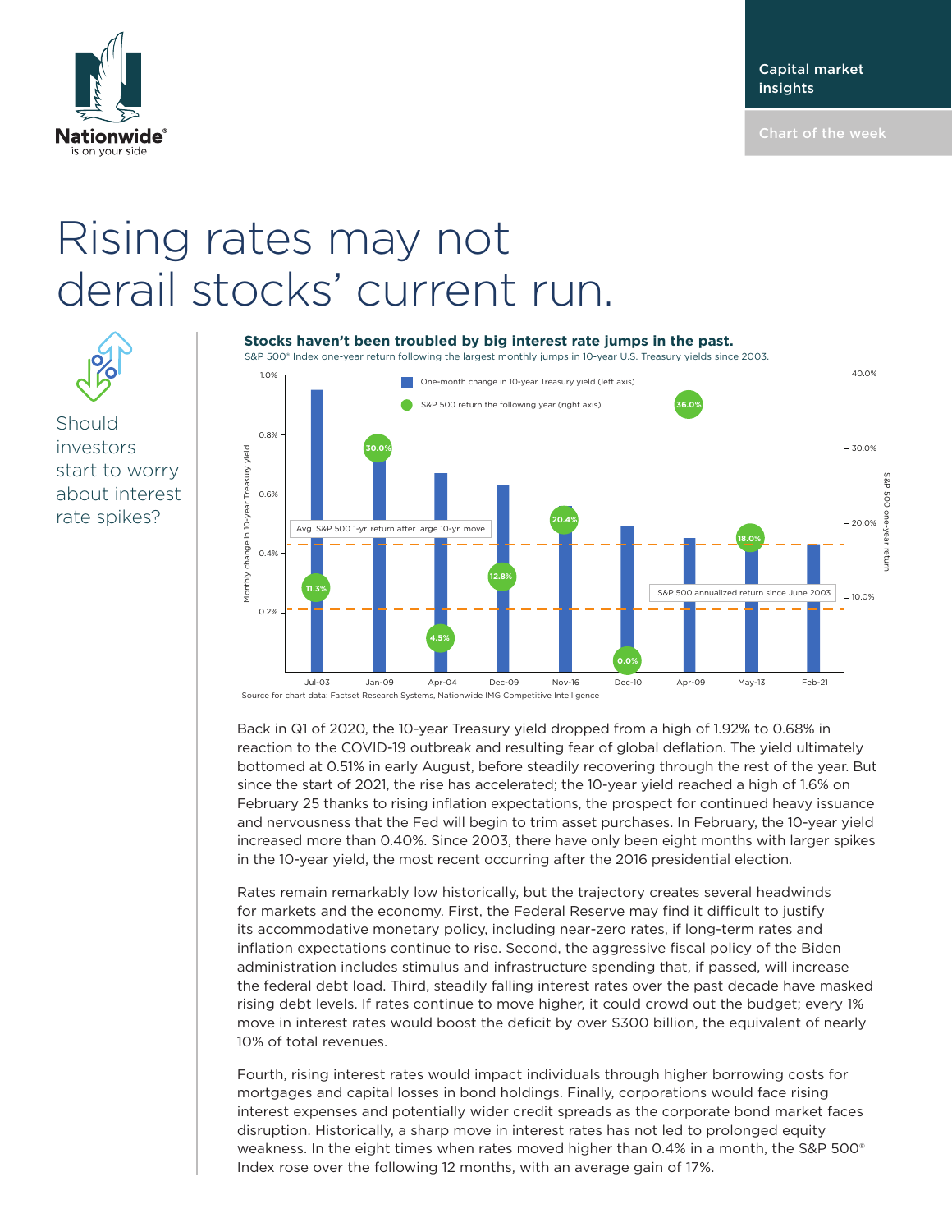

## Rising rates may not derail stocks' current run.



Should investors start to worry about interest rate spikes?

## **Stocks haven't been troubled by big interest rate jumps in the past.**

S&P 500® Index one-year return following the largest monthly jumps in 10-year U.S. Treasury yields since 2003.



Source for chart data: Factset Research Systems, Nationwide IMG Competitive Intelligence

Back in Q1 of 2020, the 10-year Treasury yield dropped from a high of 1.92% to 0.68% in reaction to the COVID-19 outbreak and resulting fear of global deflation. The yield ultimately bottomed at 0.51% in early August, before steadily recovering through the rest of the year. But since the start of 2021, the rise has accelerated; the 10-year yield reached a high of 1.6% on February 25 thanks to rising inflation expectations, the prospect for continued heavy issuance and nervousness that the Fed will begin to trim asset purchases. In February, the 10-year yield increased more than 0.40%. Since 2003, there have only been eight months with larger spikes in the 10-year yield, the most recent occurring after the 2016 presidential election.

Rates remain remarkably low historically, but the trajectory creates several headwinds for markets and the economy. First, the Federal Reserve may find it difficult to justify its accommodative monetary policy, including near-zero rates, if long-term rates and inflation expectations continue to rise. Second, the aggressive fiscal policy of the Biden administration includes stimulus and infrastructure spending that, if passed, will increase the federal debt load. Third, steadily falling interest rates over the past decade have masked rising debt levels. If rates continue to move higher, it could crowd out the budget; every 1% move in interest rates would boost the deficit by over \$300 billion, the equivalent of nearly 10% of total revenues.

Fourth, rising interest rates would impact individuals through higher borrowing costs for mortgages and capital losses in bond holdings. Finally, corporations would face rising interest expenses and potentially wider credit spreads as the corporate bond market faces disruption. Historically, a sharp move in interest rates has not led to prolonged equity weakness. In the eight times when rates moved higher than 0.4% in a month, the S&P 500<sup>®</sup> Index rose over the following 12 months, with an average gain of 17%.